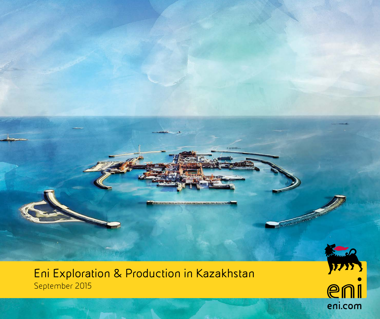Eni Exploration & Production in Kazakhstan September 2015

**CWWWhm** 

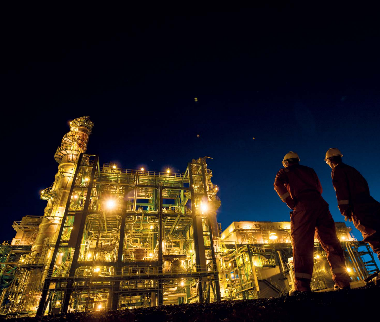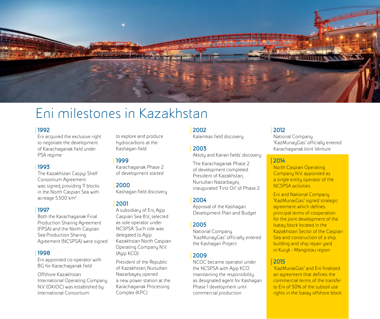

## Eni milestones in Kazakhstan

#### | **1992**

Eni acquired the exclusive right to negotiate the development of Karachaganak field under PSA regime

#### | **1993**

The Kazakhstan Caspyi Shelf Consortium Agreement was signed, providing 11 blocks in the North Caspian Sea with acreage 5.500 km2

#### | **1997**

Both the Karachaganak Final Production Sharing Agreement (FPSA) and the North Caspian Sea Production Sharing Agreement (NCSPSA) were signed

#### | **1998**

Eni appointed co-operator with BG for Karachaganak field

Offshore Kazakhstan International Operating Company N.V. (OKIOC) was established by International Consortium

to explore and produce hydrocarbons at the Kashagan field

#### | **1999**

Karachaganak Phase 2 of development started

#### | **2000**

Kashagan field discovery

#### | **2001**

A subsidiary of Eni, Agip Caspian Sea B.V., selected as sole operator under NCSPSA. Such role was delegated to Agip Kazakhstan North Caspian Operating Company N.V. (Agip KCO)

President of the Republic of Kazakhstan, Nursultan Nazarbauev, opened a new power station at the Karachaganak Processing Complex (KPC)

### | **2002**

Kalamkas field discoveru

#### | **2003**

Aktoty and Kairan fields' discovery

The Karachaganak Phase 2 of development completed. President of Kazakhstan, Nursultan Nazarbayev, inaugurated "First Oil" of Phase 2

#### | **2004**

Approval of the Kashagan Development Plan and Budget

#### | **2005**

National Company "KazMunayGas" officially entered the Kashagan Project

#### | **2009**

NCOC became operator under the NCSPSA with Agip KCO maintaining the responsibility as designated agent for Kashagan Phase 1 development until commercial production

#### | **2012**

National Company "KazMunayGas" officially entered Karachaganak Joint Venture

#### | **2014**

North Caspian Operating Company N.V. appointed as a single entity operator of the NCSPSA activities

Eni and National Company "KazMunaiGas" signed strategic agreement which defines principal terms of cooperation for the joint development of the Isatay block located in the Kazakhstan Sector of the Caspian Sea and construction of a ship building and ship repair yard in Kuryk - Mangistau region

#### | **2015**

"KazMunaiGas" and Eni finalized an agreement that defines the commercial terms of the transfer to Eni of 50% of the subsoil use rights in the Isatay offshore block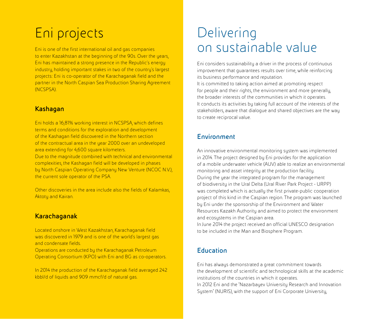# Eni projects

Eni is one of the first international oil and gas companies to enter Kazakhstan at the beginning of the 90s. Over the years, Eni has maintained a strong presence in the Republic's energy industry, holding important stakes in two of the country's largest projects: Eni is co-operator of the Karachaganak field and the partner in the North Caspian Sea Production Sharing Agreement (NCSPSA).

### **Kashagan**

Eni holds a 16,81% working interest in NCSPSA, which defines terms and conditions for the exploration and development of the Kashagan field discovered in the Northern section of the contractual area in the year 2000 over an undeveloped area extending for 4,600 square kilometers. Due to the magnitude combined with technical and environmental

complexities, the Kashagan field will be developed in phases by North Caspian Operating Company New Venture (NCOC N.V.), the current sole operator of the PSA.

Other discoveries in the area include also the fields of Kalamkas, Aktoty and Kairan.

## **Karachaganak**

Located onshore in West Kazakhstan, Karachaganak field was discovered in 1979 and is one of the world's largest gas and condensate fields.

Operations are conducted by the Karachaganak Petroleum Operating Consortium (KPO) with Eni and BG as co-operators.

In 2014 the production of the Karachaganak field averaged 242 kbbl/d of liquids and 909 mmcf/d of natural gas.

## **Delivering** on sustainable value

Eni considers sustainability a driver in the process of continuous improvement that guarantees results over time, while reinforcing its business performance and reputation. It is committed to taking action aimed at promoting respect for people and their rights, the environment and more generally, the broader interests of the communities in which it operates. It conducts its activities by taking full account of the interests of the stakeholders, aware that dialogue and shared objectives are the way to create reciprocal value.

## **Environment**

An innovative environmental monitoring system was implemented in 2014. The project designed by Eni provides for the application of a mobile underwater vehicle (AUV) able to realize an environmental monitoring and asset integrity at the production facility. During the year the integrated program for the management of biodiversity in the Ural Delta (Ural River Park Project - URPP) was completed which is actually the first private-public cooperation project of this kind in the Caspian region. The program was launched by Eni under the sponsorship of the Environment and Water Resources Kazakh Authority and aimed to protect the environment and ecosustems in the Caspian area.

In June 2014 the project received an official UNESCO designation to be included in the Man and Biosphere Program.

## **Education**

Eni has always demonstrated a great commitment towards the development of scientific and technological skills at the academic institutions of the countries in which it operates.

In 2012 Eni and the "Nazarbayev University Research and Innovation System" (NURIS), with the support of Eni Corporate University,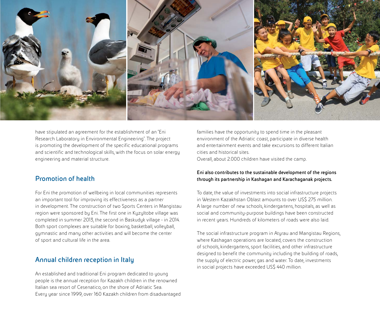

have stipulated an agreement for the establishment of an "Eni Research Laboratory in Environmental Engineering". The project is promoting the development of the specific educational programs and scientific and technological skills, with the focus on solar energy engineering and material structure.

#### **Promotion of health**

For Eni the promotion of wellbeing in local communities represents an important tool for improving its effectiveness as a partner in development. The construction of two Sports Centers in Mangistau region were sponsored by Eni. The first one in Kyzyltobe village was completed in summer 2013, the second in Baskudyk village - in 2014. Both sport complexes are suitable for boxing, basketball, volleyball, gymnastic and many other activities and will become the center of sport and cultural life in the area.

#### **Annual children reception in Italy**

An established and traditional Eni program dedicated to young people is the annual reception for Kazakh children in the renowned Italian sea resort of Cesenatico, on the shore of Adriatic Sea. Every year since 1999, over 160 Kazakh children from disadvantaged families have the opportunity to spend time in the pleasant environment of the Adriatic coast, participate in diverse health and entertainment events and take excursions to different Italian cities and historical sites.

Overall, about 2.000 children have visited the camp.

#### **Eni also contributes to the sustainable development of the regions through its partnership in Kashagan and Karachaganak projects.**

To date, the value of investments into social infrastructure projects in Western Kazakhstan Oblast amounts to over US\$ 275 million. A large number of new schools, kindergartens, hospitals, as well as social and community-purpose buildings have been constructed in recent years. Hundreds of kilometers of roads were also laid.

The social infrastructure program in Atyrau and Mangistau Regions, where Kashagan operations are located, covers the construction of schools, kindergartens, sport facilities, and other infrastructure designed to benefit the community including the building of roads, the supply of electric power, gas and water. To date, investments in social projects have exceeded US\$ 440 million.